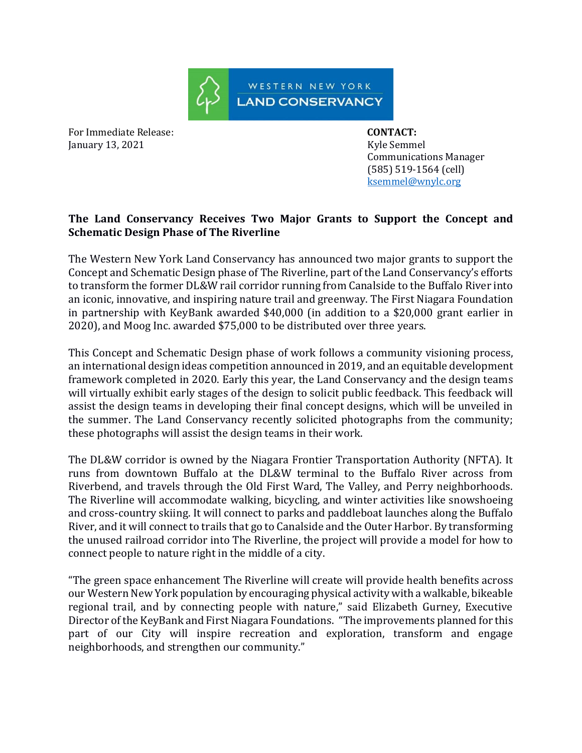

For Immediate Release: **CONTACT:**  January 13, 2021 **Kyle Semmel** 

 Communications Manager (585) 519-1564 (cell) [ksemmel@wnylc.org](mailto:ksemmel@wnylc.org)

## **The Land Conservancy Receives Two Major Grants to Support the Concept and Schematic Design Phase of The Riverline**

The Western New York Land Conservancy has announced two major grants to support the Concept and Schematic Design phase of The Riverline, part of the Land Conservancy's efforts to transform the former DL&W rail corridor running from Canalside to the Buffalo River into an iconic, innovative, and inspiring nature trail and greenway. The First Niagara Foundation in partnership with KeyBank awarded \$40,000 (in addition to a \$20,000 grant earlier in 2020), and Moog Inc. awarded \$75,000 to be distributed over three years.

This Concept and Schematic Design phase of work follows a community visioning process, an international design ideas competition announced in 2019, and an equitable development framework completed in 2020. Early this year, the Land Conservancy and the design teams will virtually exhibit early stages of the design to solicit public feedback. This feedback will assist the design teams in developing their final concept designs, which will be unveiled in the summer. The Land Conservancy recently solicited photographs from the community; these photographs will assist the design teams in their work.

The DL&W corridor is owned by the Niagara Frontier Transportation Authority (NFTA). It runs from downtown Buffalo at the DL&W terminal to the Buffalo River across from Riverbend, and travels through the Old First Ward, The Valley, and Perry neighborhoods. The Riverline will accommodate walking, bicycling, and winter activities like snowshoeing and cross-country skiing. It will connect to parks and paddleboat launches along the Buffalo River, and it will connect to trails that go to Canalside and the Outer Harbor. By transforming the unused railroad corridor into The Riverline, the project will provide a model for how to connect people to nature right in the middle of a city.

"The green space enhancement The Riverline will create will provide health benefits across our Western New York population by encouraging physical activity with a walkable, bikeable regional trail, and by connecting people with nature," said Elizabeth Gurney, Executive Director of the KeyBank and First Niagara Foundations. "The improvements planned for this part of our City will inspire recreation and exploration, transform and engage neighborhoods, and strengthen our community."